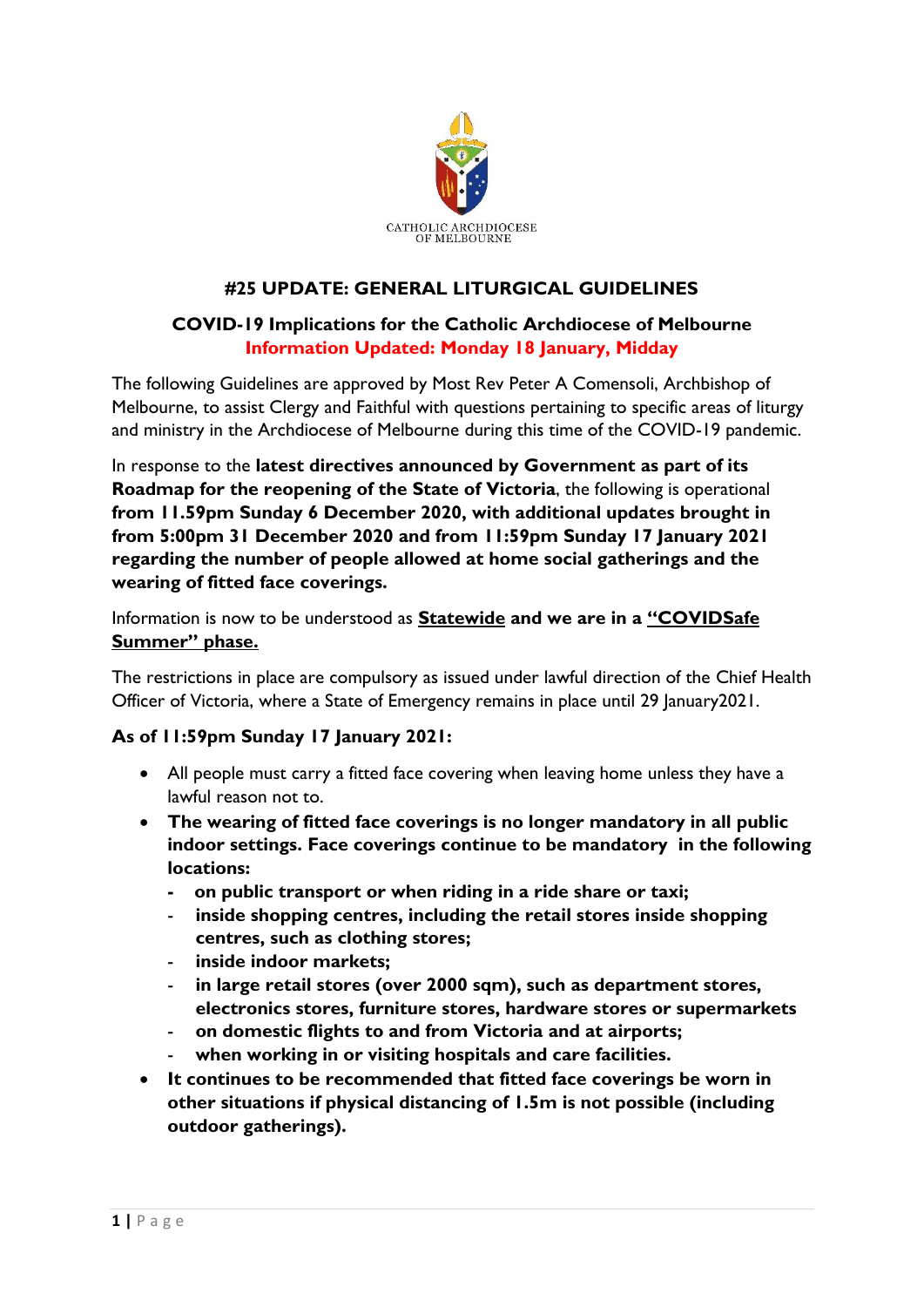

## **#25 UPDATE: GENERAL LITURGICAL GUIDELINES**

## **COVID-19 Implications for the Catholic Archdiocese of Melbourne Information Updated: Monday 18 January, Midday**

The following Guidelines are approved by Most Rev Peter A Comensoli, Archbishop of Melbourne, to assist Clergy and Faithful with questions pertaining to specific areas of liturgy and ministry in the Archdiocese of Melbourne during this time of the COVID-19 pandemic.

In response to the **latest directives announced by Government as part of its Roadmap for the reopening of the State of Victoria**, the following is operational **from 11.59pm Sunday 6 December 2020, with additional updates brought in from 5:00pm 31 December 2020 and from 11:59pm Sunday 17 January 2021 regarding the number of people allowed at home social gatherings and the wearing of fitted face coverings.**

Information is now to be understood as **Statewide and we are in a "COVIDSafe Summer" phase.**

The restrictions in place are compulsory as issued under lawful direction of the Chief Health Officer of Victoria, where a State of Emergency remains in place until 29 January 2021.

## **As of 11:59pm Sunday 17 January 2021:**

- All people must carry a fitted face covering when leaving home unless they have a lawful reason not to.
- **The wearing of fitted face coverings is no longer mandatory in all public indoor settings. Face coverings continue to be mandatory in the following locations:**
	- **on public transport or when riding in a ride share or taxi;**
	- **inside shopping centres, including the retail stores inside shopping centres, such as clothing stores;**
	- **inside indoor markets;**
	- in large retail stores (over 2000 sqm), such as department stores, **electronics stores, furniture stores, hardware stores or supermarkets**
	- **on domestic flights to and from Victoria and at airports;**
	- **when working in or visiting hospitals and care facilities.**
- **It continues to be recommended that fitted face coverings be worn in other situations if physical distancing of 1.5m is not possible (including outdoor gatherings).**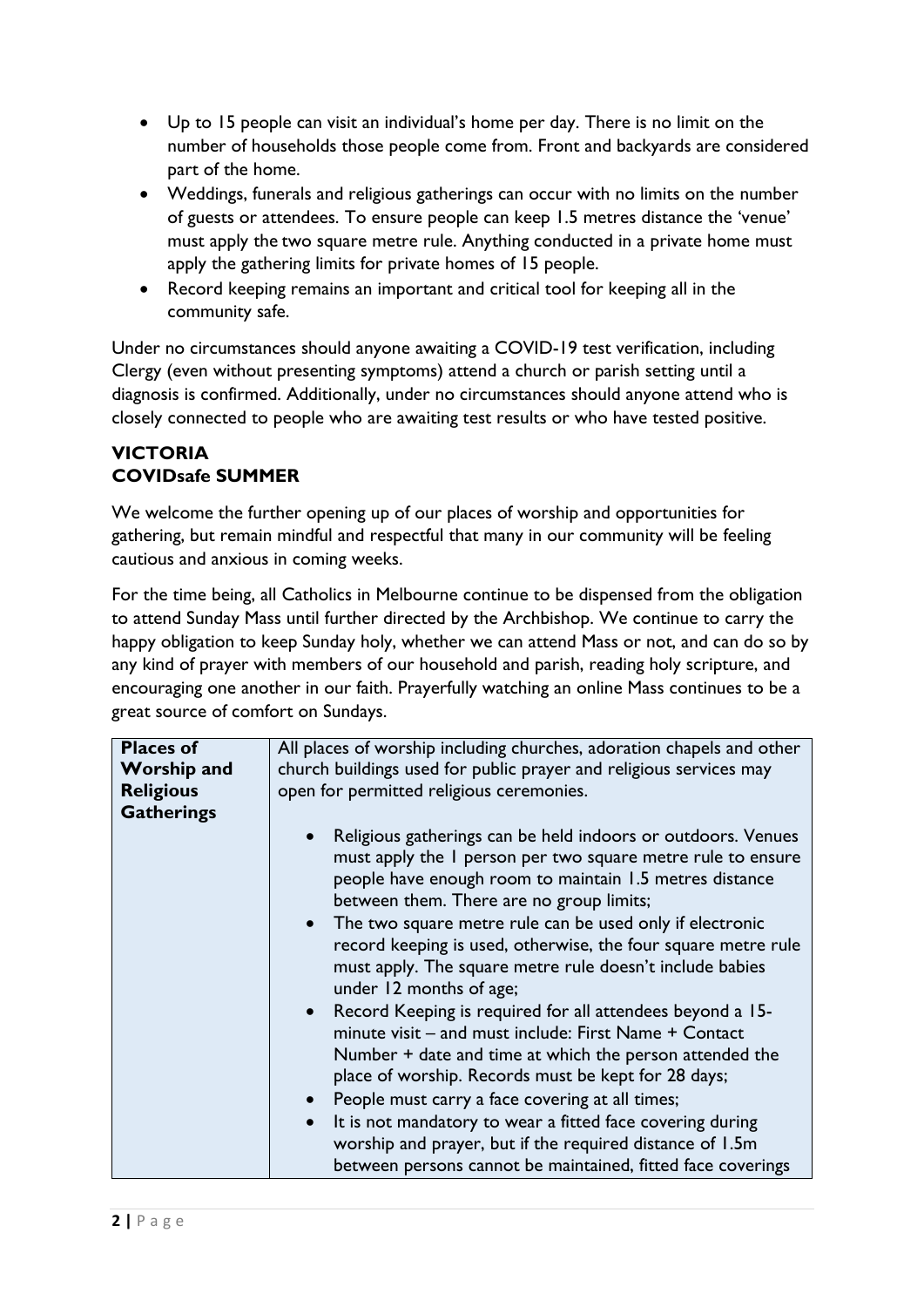- Up to 15 people can visit an individual's home per day. There is no limit on the number of households those people come from. Front and backyards are considered part of the home.
- Weddings, funerals and religious gatherings can occur with no limits on the number of guests or attendees. To ensure people can keep 1.5 metres distance the 'venue' must apply the two square metre rule. Anything conducted in a private home must apply the gathering limits for private homes of 15 people.
- Record keeping remains an important and critical tool for keeping all in the community safe.

Under no circumstances should anyone awaiting a COVID-19 test verification, including Clergy (even without presenting symptoms) attend a church or parish setting until a diagnosis is confirmed. Additionally, under no circumstances should anyone attend who is closely connected to people who are awaiting test results or who have tested positive.

## **VICTORIA COVIDsafe SUMMER**

We welcome the further opening up of our places of worship and opportunities for gathering, but remain mindful and respectful that many in our community will be feeling cautious and anxious in coming weeks.

For the time being, all Catholics in Melbourne continue to be dispensed from the obligation to attend Sunday Mass until further directed by the Archbishop. We continue to carry the happy obligation to keep Sunday holy, whether we can attend Mass or not, and can do so by any kind of prayer with members of our household and parish, reading holy scripture, and encouraging one another in our faith. Prayerfully watching an online Mass continues to be a great source of comfort on Sundays.

| <b>Places of</b><br><b>Worship and</b> | All places of worship including churches, adoration chapels and other<br>church buildings used for public prayer and religious services may                                                                                                                                                                                                                                                                                                                                       |
|----------------------------------------|-----------------------------------------------------------------------------------------------------------------------------------------------------------------------------------------------------------------------------------------------------------------------------------------------------------------------------------------------------------------------------------------------------------------------------------------------------------------------------------|
| <b>Religious</b>                       | open for permitted religious ceremonies.                                                                                                                                                                                                                                                                                                                                                                                                                                          |
| <b>Gatherings</b>                      |                                                                                                                                                                                                                                                                                                                                                                                                                                                                                   |
|                                        | Religious gatherings can be held indoors or outdoors. Venues<br>must apply the I person per two square metre rule to ensure<br>people have enough room to maintain 1.5 metres distance<br>between them. There are no group limits;<br>• The two square metre rule can be used only if electronic<br>record keeping is used, otherwise, the four square metre rule<br>must apply. The square metre rule doesn't include babies<br>under 12 months of age;                          |
|                                        | Record Keeping is required for all attendees beyond a 15-<br>minute visit – and must include: First Name + Contact<br>Number + date and time at which the person attended the<br>place of worship. Records must be kept for 28 days;<br>• People must carry a face covering at all times;<br>It is not mandatory to wear a fitted face covering during<br>worship and prayer, but if the required distance of 1.5m<br>between persons cannot be maintained, fitted face coverings |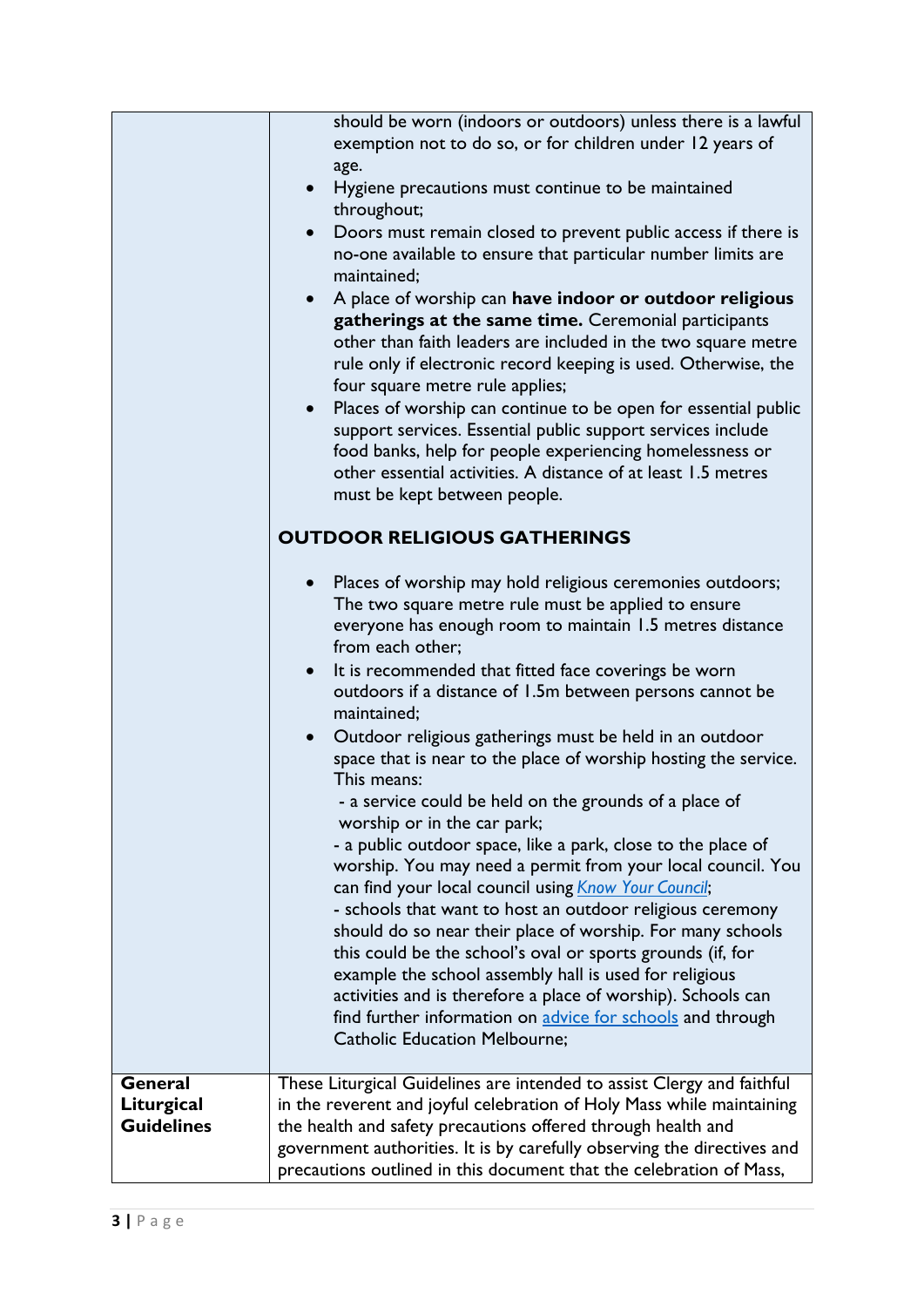|                   | should be worn (indoors or outdoors) unless there is a lawful<br>exemption not to do so, or for children under 12 years of<br>age.<br>Hygiene precautions must continue to be maintained<br>$\bullet$<br>throughout;<br>Doors must remain closed to prevent public access if there is<br>no-one available to ensure that particular number limits are<br>maintained;<br>A place of worship can have indoor or outdoor religious<br>$\bullet$<br>gatherings at the same time. Ceremonial participants<br>other than faith leaders are included in the two square metre<br>rule only if electronic record keeping is used. Otherwise, the<br>four square metre rule applies;<br>Places of worship can continue to be open for essential public<br>support services. Essential public support services include<br>food banks, help for people experiencing homelessness or<br>other essential activities. A distance of at least 1.5 metres<br>must be kept between people.<br><b>OUTDOOR RELIGIOUS GATHERINGS</b><br>Places of worship may hold religious ceremonies outdoors;<br>The two square metre rule must be applied to ensure<br>everyone has enough room to maintain 1.5 metres distance<br>from each other;<br>It is recommended that fitted face coverings be worn<br>outdoors if a distance of 1.5m between persons cannot be<br>maintained;<br>Outdoor religious gatherings must be held in an outdoor<br>$\bullet$<br>space that is near to the place of worship hosting the service.<br>This means:<br>- a service could be held on the grounds of a place of<br>worship or in the car park;<br>- a public outdoor space, like a park, close to the place of<br>worship. You may need a permit from your local council. You<br>can find your local council using <b>Know Your Council</b> ;<br>- schools that want to host an outdoor religious ceremony<br>should do so near their place of worship. For many schools<br>this could be the school's oval or sports grounds (if, for<br>example the school assembly hall is used for religious<br>activities and is therefore a place of worship). Schools can<br>find further information on advice for schools and through<br><b>Catholic Education Melbourne;</b> |
|-------------------|-----------------------------------------------------------------------------------------------------------------------------------------------------------------------------------------------------------------------------------------------------------------------------------------------------------------------------------------------------------------------------------------------------------------------------------------------------------------------------------------------------------------------------------------------------------------------------------------------------------------------------------------------------------------------------------------------------------------------------------------------------------------------------------------------------------------------------------------------------------------------------------------------------------------------------------------------------------------------------------------------------------------------------------------------------------------------------------------------------------------------------------------------------------------------------------------------------------------------------------------------------------------------------------------------------------------------------------------------------------------------------------------------------------------------------------------------------------------------------------------------------------------------------------------------------------------------------------------------------------------------------------------------------------------------------------------------------------------------------------------------------------------------------------------------------------------------------------------------------------------------------------------------------------------------------------------------------------------------------------------------------------------------------------------------------------------------------------------------------------------------------------------------------------------------------------------------------------------------------------|
| General           | These Liturgical Guidelines are intended to assist Clergy and faithful                                                                                                                                                                                                                                                                                                                                                                                                                                                                                                                                                                                                                                                                                                                                                                                                                                                                                                                                                                                                                                                                                                                                                                                                                                                                                                                                                                                                                                                                                                                                                                                                                                                                                                                                                                                                                                                                                                                                                                                                                                                                                                                                                            |
| Liturgical        | in the reverent and joyful celebration of Holy Mass while maintaining                                                                                                                                                                                                                                                                                                                                                                                                                                                                                                                                                                                                                                                                                                                                                                                                                                                                                                                                                                                                                                                                                                                                                                                                                                                                                                                                                                                                                                                                                                                                                                                                                                                                                                                                                                                                                                                                                                                                                                                                                                                                                                                                                             |
| <b>Guidelines</b> | the health and safety precautions offered through health and                                                                                                                                                                                                                                                                                                                                                                                                                                                                                                                                                                                                                                                                                                                                                                                                                                                                                                                                                                                                                                                                                                                                                                                                                                                                                                                                                                                                                                                                                                                                                                                                                                                                                                                                                                                                                                                                                                                                                                                                                                                                                                                                                                      |
|                   | government authorities. It is by carefully observing the directives and                                                                                                                                                                                                                                                                                                                                                                                                                                                                                                                                                                                                                                                                                                                                                                                                                                                                                                                                                                                                                                                                                                                                                                                                                                                                                                                                                                                                                                                                                                                                                                                                                                                                                                                                                                                                                                                                                                                                                                                                                                                                                                                                                           |
|                   | precautions outlined in this document that the celebration of Mass,                                                                                                                                                                                                                                                                                                                                                                                                                                                                                                                                                                                                                                                                                                                                                                                                                                                                                                                                                                                                                                                                                                                                                                                                                                                                                                                                                                                                                                                                                                                                                                                                                                                                                                                                                                                                                                                                                                                                                                                                                                                                                                                                                               |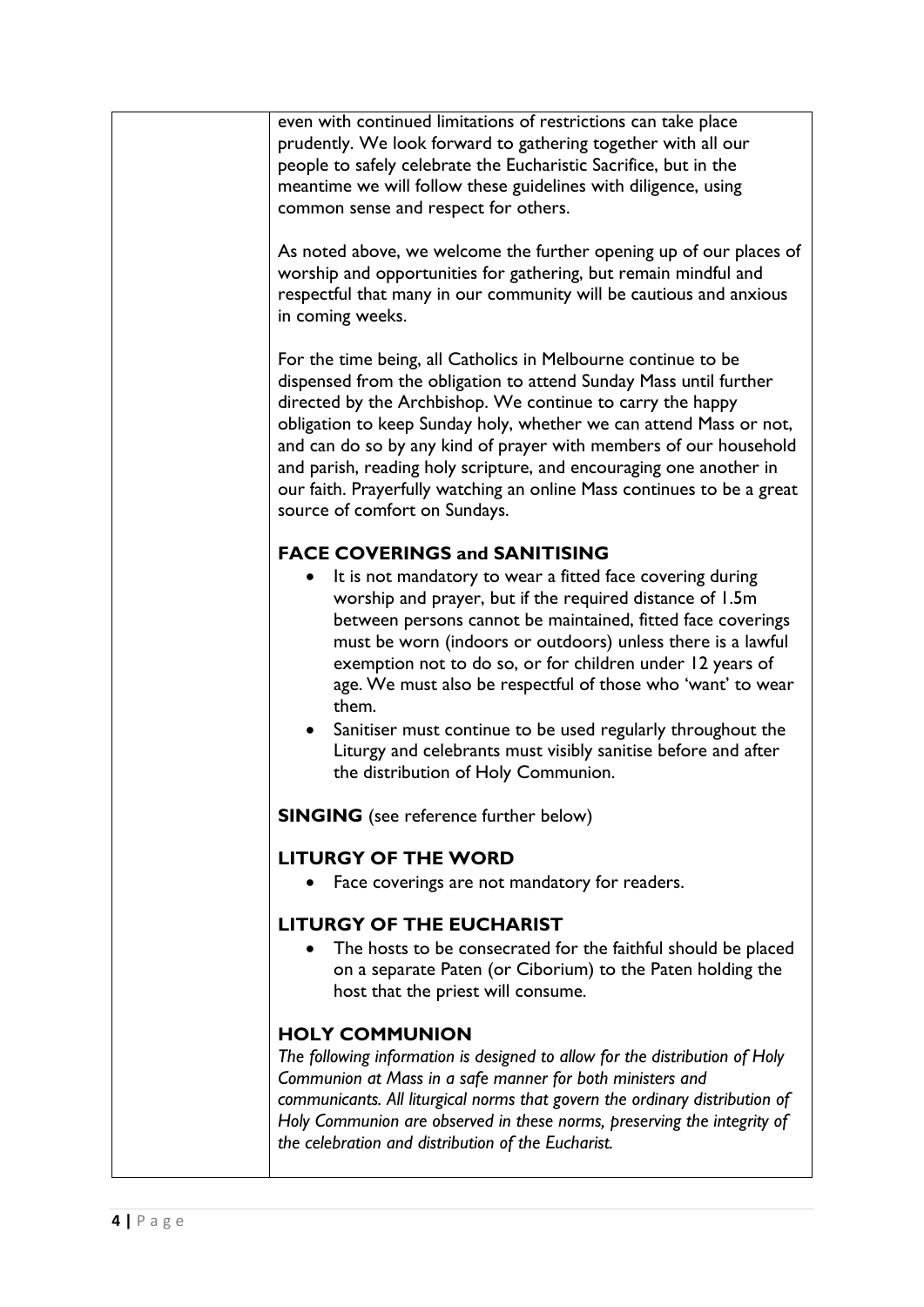| even with continued limitations of restrictions can take place<br>prudently. We look forward to gathering together with all our<br>people to safely celebrate the Eucharistic Sacrifice, but in the<br>meantime we will follow these guidelines with diligence, using<br>common sense and respect for others.<br>As noted above, we welcome the further opening up of our places of<br>worship and opportunities for gathering, but remain mindful and<br>respectful that many in our community will be cautious and anxious<br>in coming weeks.<br>For the time being, all Catholics in Melbourne continue to be<br>dispensed from the obligation to attend Sunday Mass until further<br>directed by the Archbishop. We continue to carry the happy |
|------------------------------------------------------------------------------------------------------------------------------------------------------------------------------------------------------------------------------------------------------------------------------------------------------------------------------------------------------------------------------------------------------------------------------------------------------------------------------------------------------------------------------------------------------------------------------------------------------------------------------------------------------------------------------------------------------------------------------------------------------|
| obligation to keep Sunday holy, whether we can attend Mass or not,<br>and can do so by any kind of prayer with members of our household<br>and parish, reading holy scripture, and encouraging one another in<br>our faith. Prayerfully watching an online Mass continues to be a great<br>source of comfort on Sundays.                                                                                                                                                                                                                                                                                                                                                                                                                             |
| <b>FACE COVERINGS and SANITISING</b>                                                                                                                                                                                                                                                                                                                                                                                                                                                                                                                                                                                                                                                                                                                 |
| It is not mandatory to wear a fitted face covering during<br>worship and prayer, but if the required distance of 1.5m<br>between persons cannot be maintained, fitted face coverings<br>must be worn (indoors or outdoors) unless there is a lawful<br>exemption not to do so, or for children under 12 years of<br>age. We must also be respectful of those who 'want' to wear<br>them.                                                                                                                                                                                                                                                                                                                                                             |
| Sanitiser must continue to be used regularly throughout the<br>Liturgy and celebrants must visibly sanitise before and after<br>the distribution of Holy Communion.                                                                                                                                                                                                                                                                                                                                                                                                                                                                                                                                                                                  |
| <b>SINGING</b> (see reference further below)                                                                                                                                                                                                                                                                                                                                                                                                                                                                                                                                                                                                                                                                                                         |
| <b>LITURGY OF THE WORD</b>                                                                                                                                                                                                                                                                                                                                                                                                                                                                                                                                                                                                                                                                                                                           |
| Face coverings are not mandatory for readers.                                                                                                                                                                                                                                                                                                                                                                                                                                                                                                                                                                                                                                                                                                        |
| <b>LITURGY OF THE EUCHARIST</b>                                                                                                                                                                                                                                                                                                                                                                                                                                                                                                                                                                                                                                                                                                                      |
| The hosts to be consecrated for the faithful should be placed<br>on a separate Paten (or Ciborium) to the Paten holding the<br>host that the priest will consume.                                                                                                                                                                                                                                                                                                                                                                                                                                                                                                                                                                                    |
| <b>HOLY COMMUNION</b>                                                                                                                                                                                                                                                                                                                                                                                                                                                                                                                                                                                                                                                                                                                                |
| The following information is designed to allow for the distribution of Holy<br>Communion at Mass in a safe manner for both ministers and<br>communicants. All liturgical norms that govern the ordinary distribution of<br>Holy Communion are observed in these norms, preserving the integrity of<br>the celebration and distribution of the Eucharist.                                                                                                                                                                                                                                                                                                                                                                                             |
|                                                                                                                                                                                                                                                                                                                                                                                                                                                                                                                                                                                                                                                                                                                                                      |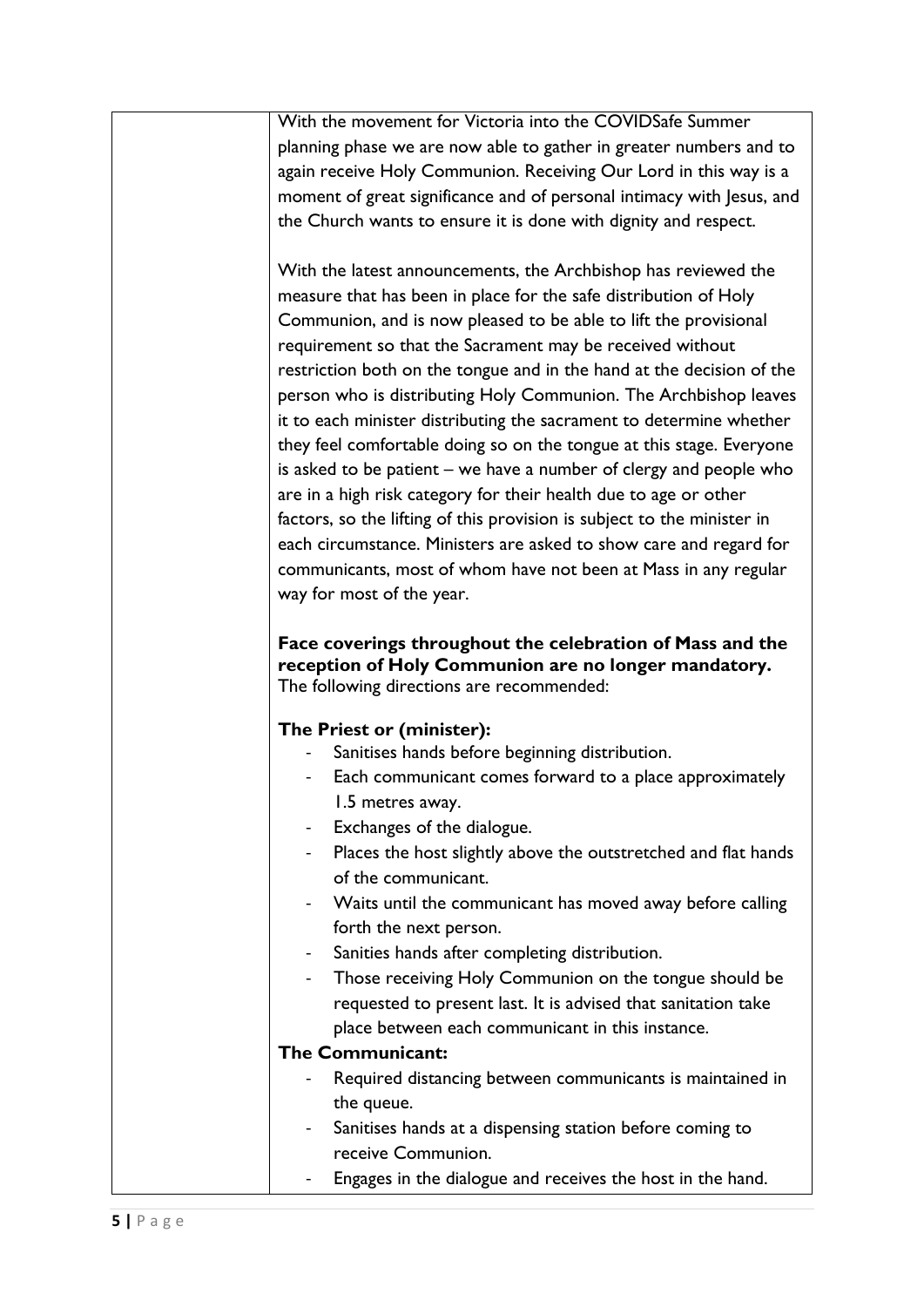| With the movement for Victoria into the COVIDSafe Summer                |
|-------------------------------------------------------------------------|
| planning phase we are now able to gather in greater numbers and to      |
| again receive Holy Communion. Receiving Our Lord in this way is a       |
| moment of great significance and of personal intimacy with Jesus, and   |
| the Church wants to ensure it is done with dignity and respect.         |
|                                                                         |
| With the latest announcements, the Archbishop has reviewed the          |
| measure that has been in place for the safe distribution of Holy        |
| Communion, and is now pleased to be able to lift the provisional        |
| requirement so that the Sacrament may be received without               |
| restriction both on the tongue and in the hand at the decision of the   |
| person who is distributing Holy Communion. The Archbishop leaves        |
| it to each minister distributing the sacrament to determine whether     |
| they feel comfortable doing so on the tongue at this stage. Everyone    |
| is asked to be patient – we have a number of clergy and people who      |
| are in a high risk category for their health due to age or other        |
| factors, so the lifting of this provision is subject to the minister in |
| each circumstance. Ministers are asked to show care and regard for      |
| communicants, most of whom have not been at Mass in any regular         |
| way for most of the year.                                               |
|                                                                         |
| Face coverings throughout the celebration of Mass and the               |
| reception of Holy Communion are no longer mandatory.                    |
| The following directions are recommended:                               |
| The Priest or (minister):                                               |
| Sanitises hands before beginning distribution.                          |
| Each communicant comes forward to a place approximately                 |
| 1.5 metres away.                                                        |
| Exchanges of the dialogue.                                              |
| Places the host slightly above the outstretched and flat hands          |
| of the communicant.                                                     |
| Waits until the communicant has moved away before calling               |
| forth the next person.                                                  |
| Sanities hands after completing distribution.                           |
| Those receiving Holy Communion on the tongue should be                  |
| requested to present last. It is advised that sanitation take           |
| place between each communicant in this instance.                        |
| <b>The Communicant:</b>                                                 |
| Required distancing between communicants is maintained in               |
| the queue.                                                              |
| Sanitises hands at a dispensing station before coming to                |
| receive Communion.                                                      |
| Engages in the dialogue and receives the host in the hand.              |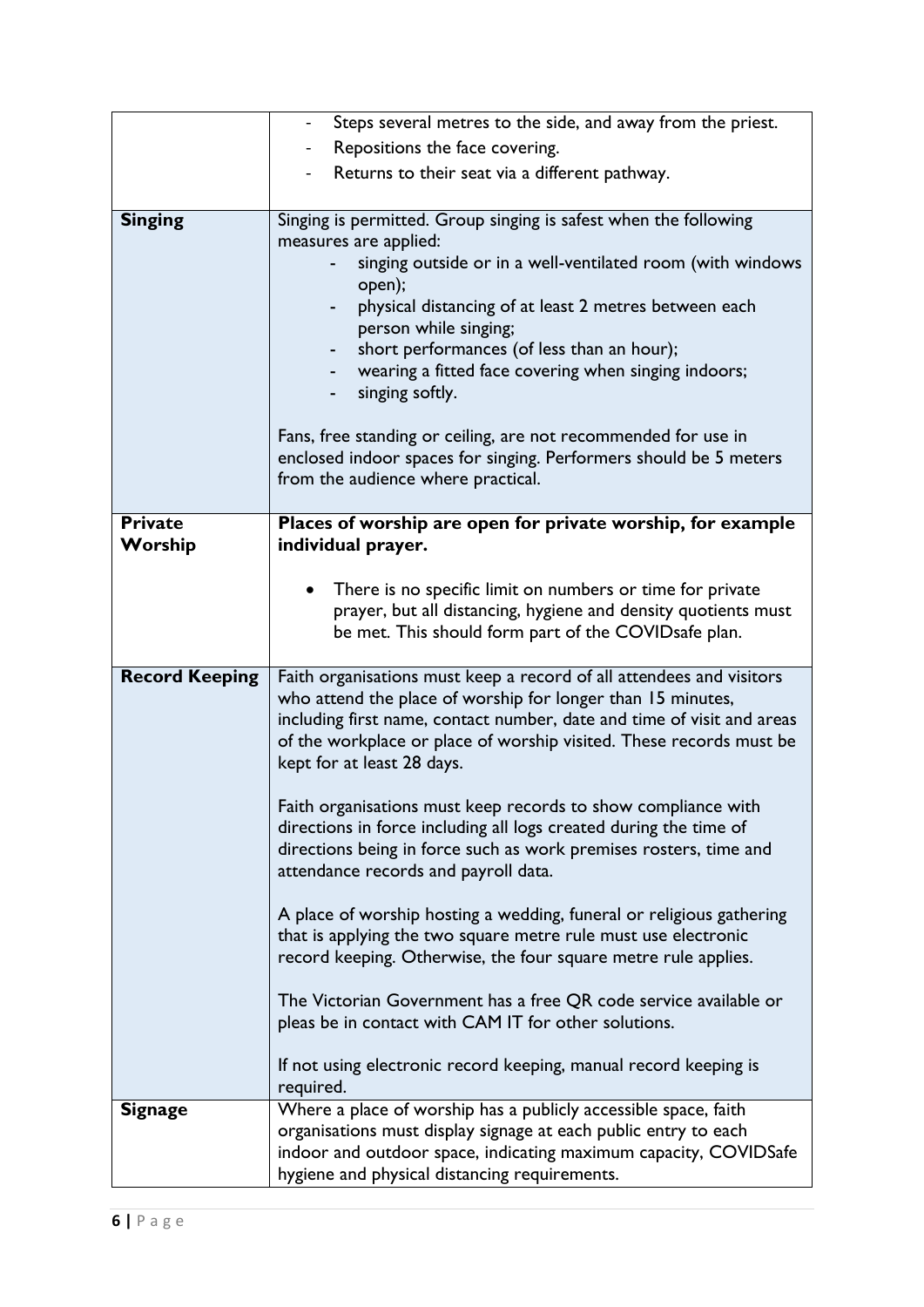|                       | Steps several metres to the side, and away from the priest.                                                                                                                                                                                                                                                        |
|-----------------------|--------------------------------------------------------------------------------------------------------------------------------------------------------------------------------------------------------------------------------------------------------------------------------------------------------------------|
|                       | Repositions the face covering.                                                                                                                                                                                                                                                                                     |
|                       | Returns to their seat via a different pathway.                                                                                                                                                                                                                                                                     |
|                       |                                                                                                                                                                                                                                                                                                                    |
| <b>Singing</b>        | Singing is permitted. Group singing is safest when the following                                                                                                                                                                                                                                                   |
|                       | measures are applied:                                                                                                                                                                                                                                                                                              |
|                       | singing outside or in a well-ventilated room (with windows<br>open);                                                                                                                                                                                                                                               |
|                       | physical distancing of at least 2 metres between each<br>-<br>person while singing;                                                                                                                                                                                                                                |
|                       | short performances (of less than an hour);                                                                                                                                                                                                                                                                         |
|                       | wearing a fitted face covering when singing indoors;                                                                                                                                                                                                                                                               |
|                       | singing softly.                                                                                                                                                                                                                                                                                                    |
|                       | Fans, free standing or ceiling, are not recommended for use in                                                                                                                                                                                                                                                     |
|                       | enclosed indoor spaces for singing. Performers should be 5 meters                                                                                                                                                                                                                                                  |
|                       | from the audience where practical.                                                                                                                                                                                                                                                                                 |
|                       |                                                                                                                                                                                                                                                                                                                    |
| <b>Private</b>        | Places of worship are open for private worship, for example                                                                                                                                                                                                                                                        |
| Worship               | individual prayer.                                                                                                                                                                                                                                                                                                 |
|                       |                                                                                                                                                                                                                                                                                                                    |
|                       | There is no specific limit on numbers or time for private<br>$\bullet$<br>prayer, but all distancing, hygiene and density quotients must                                                                                                                                                                           |
|                       | be met. This should form part of the COVID safe plan.                                                                                                                                                                                                                                                              |
|                       |                                                                                                                                                                                                                                                                                                                    |
| <b>Record Keeping</b> | Faith organisations must keep a record of all attendees and visitors<br>who attend the place of worship for longer than 15 minutes,<br>including first name, contact number, date and time of visit and areas<br>of the workplace or place of worship visited. These records must be<br>kept for at least 28 days. |
|                       |                                                                                                                                                                                                                                                                                                                    |
|                       | Faith organisations must keep records to show compliance with<br>directions in force including all logs created during the time of<br>directions being in force such as work premises rosters, time and<br>attendance records and payroll data.                                                                    |
|                       | A place of worship hosting a wedding, funeral or religious gathering                                                                                                                                                                                                                                               |
|                       | that is applying the two square metre rule must use electronic                                                                                                                                                                                                                                                     |
|                       | record keeping. Otherwise, the four square metre rule applies.                                                                                                                                                                                                                                                     |
|                       | The Victorian Government has a free QR code service available or                                                                                                                                                                                                                                                   |
|                       | pleas be in contact with CAM IT for other solutions.                                                                                                                                                                                                                                                               |
|                       | If not using electronic record keeping, manual record keeping is                                                                                                                                                                                                                                                   |
| <b>Signage</b>        | required.<br>Where a place of worship has a publicly accessible space, faith                                                                                                                                                                                                                                       |
|                       | organisations must display signage at each public entry to each                                                                                                                                                                                                                                                    |
|                       | indoor and outdoor space, indicating maximum capacity, COVIDSafe                                                                                                                                                                                                                                                   |
|                       | hygiene and physical distancing requirements.                                                                                                                                                                                                                                                                      |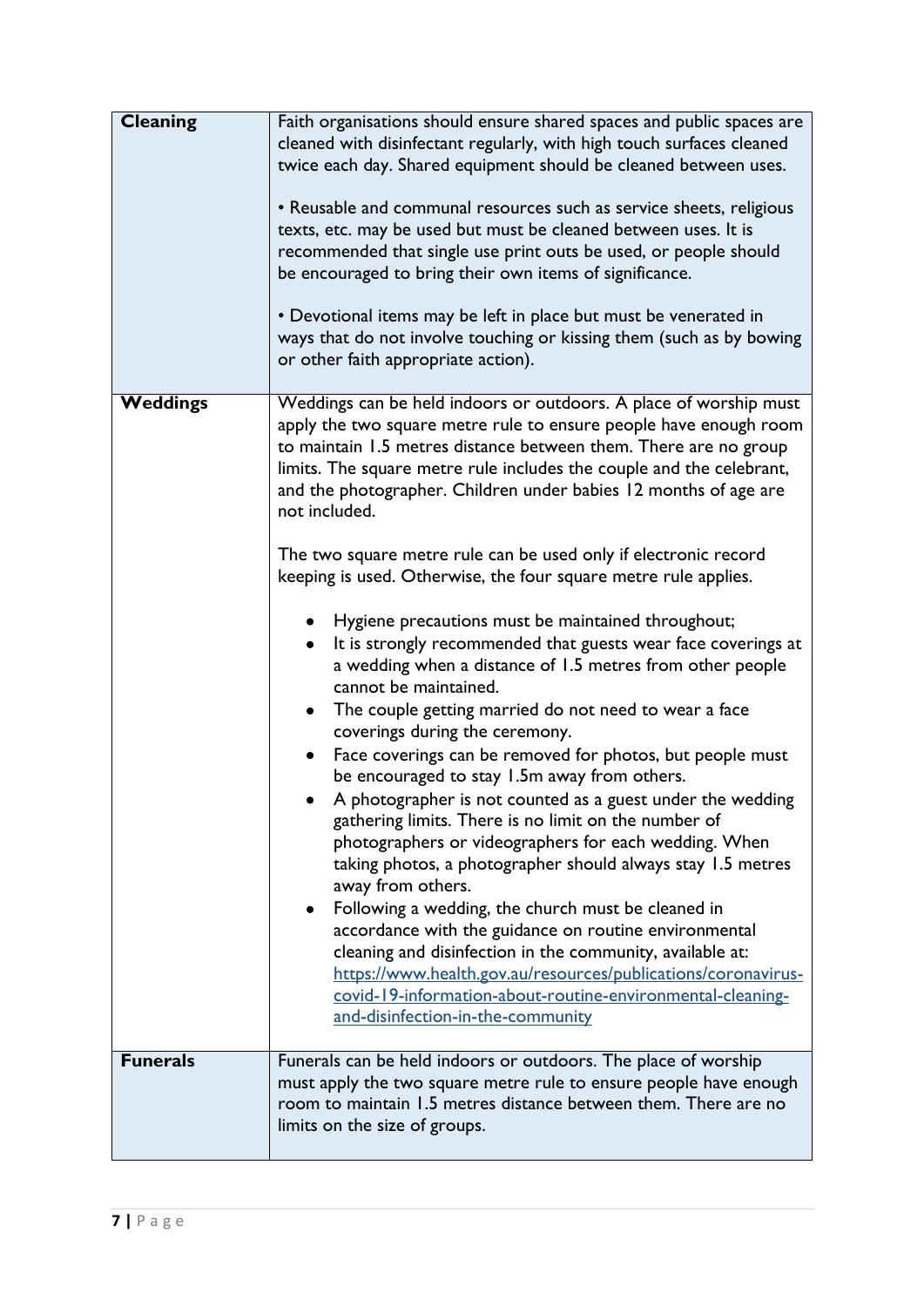| <b>Cleaning</b> | Faith organisations should ensure shared spaces and public spaces are<br>cleaned with disinfectant regularly, with high touch surfaces cleaned<br>twice each day. Shared equipment should be cleaned between uses.<br>• Reusable and communal resources such as service sheets, religious<br>texts, etc. may be used but must be cleaned between uses. It is<br>recommended that single use print outs be used, or people should<br>be encouraged to bring their own items of significance.<br>• Devotional items may be left in place but must be venerated in<br>ways that do not involve touching or kissing them (such as by bowing<br>or other faith appropriate action).                                                                                                                                                                                                                                                                                                                                                                                                                                                                                                                                                                                                                                                                                                                                                                                                                                                                                          |
|-----------------|-------------------------------------------------------------------------------------------------------------------------------------------------------------------------------------------------------------------------------------------------------------------------------------------------------------------------------------------------------------------------------------------------------------------------------------------------------------------------------------------------------------------------------------------------------------------------------------------------------------------------------------------------------------------------------------------------------------------------------------------------------------------------------------------------------------------------------------------------------------------------------------------------------------------------------------------------------------------------------------------------------------------------------------------------------------------------------------------------------------------------------------------------------------------------------------------------------------------------------------------------------------------------------------------------------------------------------------------------------------------------------------------------------------------------------------------------------------------------------------------------------------------------------------------------------------------------|
| <b>Weddings</b> | Weddings can be held indoors or outdoors. A place of worship must<br>apply the two square metre rule to ensure people have enough room<br>to maintain 1.5 metres distance between them. There are no group<br>limits. The square metre rule includes the couple and the celebrant,<br>and the photographer. Children under babies 12 months of age are<br>not included.<br>The two square metre rule can be used only if electronic record<br>keeping is used. Otherwise, the four square metre rule applies.<br>Hygiene precautions must be maintained throughout;<br>It is strongly recommended that guests wear face coverings at<br>a wedding when a distance of 1.5 metres from other people<br>cannot be maintained.<br>The couple getting married do not need to wear a face<br>$\bullet$<br>coverings during the ceremony.<br>Face coverings can be removed for photos, but people must<br>٠<br>be encouraged to stay 1.5m away from others.<br>A photographer is not counted as a guest under the wedding<br>gathering limits. There is no limit on the number of<br>photographers or videographers for each wedding. When<br>taking photos, a photographer should always stay 1.5 metres<br>away from others.<br>Following a wedding, the church must be cleaned in<br>accordance with the guidance on routine environmental<br>cleaning and disinfection in the community, available at:<br>https://www.health.gov.au/resources/publications/coronavirus-<br>covid-19-information-about-routine-environmental-cleaning-<br>and-disinfection-in-the-community |
| <b>Funerals</b> | Funerals can be held indoors or outdoors. The place of worship<br>must apply the two square metre rule to ensure people have enough<br>room to maintain 1.5 metres distance between them. There are no<br>limits on the size of groups.                                                                                                                                                                                                                                                                                                                                                                                                                                                                                                                                                                                                                                                                                                                                                                                                                                                                                                                                                                                                                                                                                                                                                                                                                                                                                                                                 |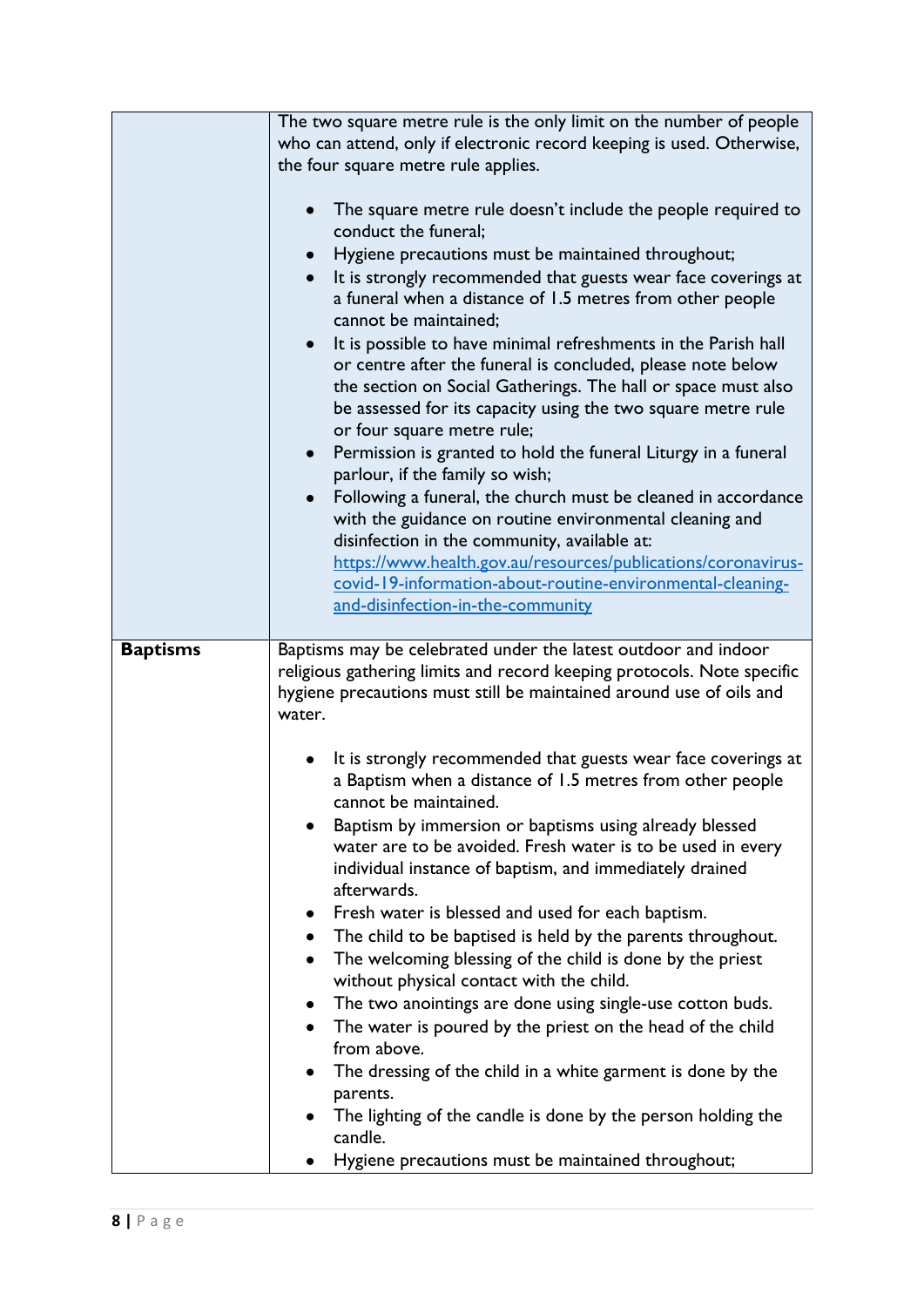|                 | The two square metre rule is the only limit on the number of people<br>who can attend, only if electronic record keeping is used. Otherwise,                                                                                                                                                                                                                                                                                                                                                                                                                                                                                                                                                                                                                                                                                                                                                                                                                                                                                   |
|-----------------|--------------------------------------------------------------------------------------------------------------------------------------------------------------------------------------------------------------------------------------------------------------------------------------------------------------------------------------------------------------------------------------------------------------------------------------------------------------------------------------------------------------------------------------------------------------------------------------------------------------------------------------------------------------------------------------------------------------------------------------------------------------------------------------------------------------------------------------------------------------------------------------------------------------------------------------------------------------------------------------------------------------------------------|
|                 | the four square metre rule applies.                                                                                                                                                                                                                                                                                                                                                                                                                                                                                                                                                                                                                                                                                                                                                                                                                                                                                                                                                                                            |
|                 | The square metre rule doesn't include the people required to<br>conduct the funeral;<br>Hygiene precautions must be maintained throughout;<br>It is strongly recommended that guests wear face coverings at<br>a funeral when a distance of 1.5 metres from other people<br>cannot be maintained;<br>It is possible to have minimal refreshments in the Parish hall<br>or centre after the funeral is concluded, please note below<br>the section on Social Gatherings. The hall or space must also<br>be assessed for its capacity using the two square metre rule<br>or four square metre rule;<br>Permission is granted to hold the funeral Liturgy in a funeral<br>parlour, if the family so wish;<br>Following a funeral, the church must be cleaned in accordance<br>$\bullet$<br>with the guidance on routine environmental cleaning and<br>disinfection in the community, available at:<br>https://www.health.gov.au/resources/publications/coronavirus-<br>covid-19-information-about-routine-environmental-cleaning- |
|                 | and-disinfection-in-the-community                                                                                                                                                                                                                                                                                                                                                                                                                                                                                                                                                                                                                                                                                                                                                                                                                                                                                                                                                                                              |
|                 |                                                                                                                                                                                                                                                                                                                                                                                                                                                                                                                                                                                                                                                                                                                                                                                                                                                                                                                                                                                                                                |
| <b>Baptisms</b> | Baptisms may be celebrated under the latest outdoor and indoor<br>religious gathering limits and record keeping protocols. Note specific<br>hygiene precautions must still be maintained around use of oils and<br>water.                                                                                                                                                                                                                                                                                                                                                                                                                                                                                                                                                                                                                                                                                                                                                                                                      |
|                 | It is strongly recommended that guests wear face coverings at<br>a Baptism when a distance of 1.5 metres from other people<br>cannot be maintained.<br>Baptism by immersion or baptisms using already blessed                                                                                                                                                                                                                                                                                                                                                                                                                                                                                                                                                                                                                                                                                                                                                                                                                  |
|                 | water are to be avoided. Fresh water is to be used in every<br>individual instance of baptism, and immediately drained<br>afterwards.                                                                                                                                                                                                                                                                                                                                                                                                                                                                                                                                                                                                                                                                                                                                                                                                                                                                                          |
|                 |                                                                                                                                                                                                                                                                                                                                                                                                                                                                                                                                                                                                                                                                                                                                                                                                                                                                                                                                                                                                                                |
|                 | Fresh water is blessed and used for each baptism.                                                                                                                                                                                                                                                                                                                                                                                                                                                                                                                                                                                                                                                                                                                                                                                                                                                                                                                                                                              |
|                 | The child to be baptised is held by the parents throughout.                                                                                                                                                                                                                                                                                                                                                                                                                                                                                                                                                                                                                                                                                                                                                                                                                                                                                                                                                                    |
|                 | The welcoming blessing of the child is done by the priest                                                                                                                                                                                                                                                                                                                                                                                                                                                                                                                                                                                                                                                                                                                                                                                                                                                                                                                                                                      |
|                 | without physical contact with the child.<br>The two anointings are done using single-use cotton buds.                                                                                                                                                                                                                                                                                                                                                                                                                                                                                                                                                                                                                                                                                                                                                                                                                                                                                                                          |
|                 | The water is poured by the priest on the head of the child<br>from above.                                                                                                                                                                                                                                                                                                                                                                                                                                                                                                                                                                                                                                                                                                                                                                                                                                                                                                                                                      |
|                 | The dressing of the child in a white garment is done by the                                                                                                                                                                                                                                                                                                                                                                                                                                                                                                                                                                                                                                                                                                                                                                                                                                                                                                                                                                    |
|                 | parents.<br>The lighting of the candle is done by the person holding the<br>candle.                                                                                                                                                                                                                                                                                                                                                                                                                                                                                                                                                                                                                                                                                                                                                                                                                                                                                                                                            |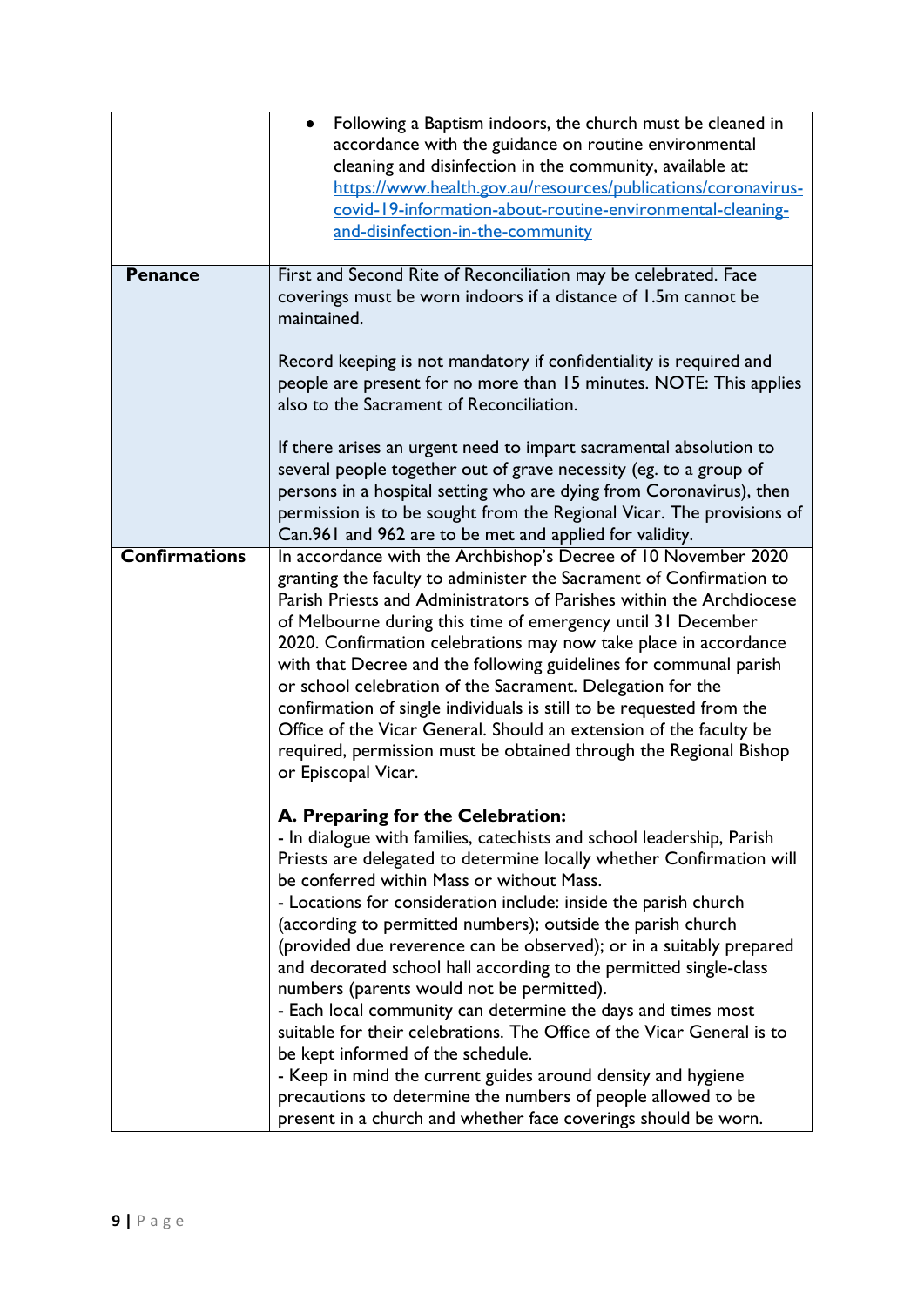|                      | Following a Baptism indoors, the church must be cleaned in<br>accordance with the guidance on routine environmental<br>cleaning and disinfection in the community, available at:<br>https://www.health.gov.au/resources/publications/coronavirus-<br>covid-19-information-about-routine-environmental-cleaning-<br>and-disinfection-in-the-community                                                                                                                                                                                                                                                                                                                                                                           |
|----------------------|--------------------------------------------------------------------------------------------------------------------------------------------------------------------------------------------------------------------------------------------------------------------------------------------------------------------------------------------------------------------------------------------------------------------------------------------------------------------------------------------------------------------------------------------------------------------------------------------------------------------------------------------------------------------------------------------------------------------------------|
| <b>Penance</b>       | First and Second Rite of Reconciliation may be celebrated. Face<br>coverings must be worn indoors if a distance of 1.5m cannot be<br>maintained.<br>Record keeping is not mandatory if confidentiality is required and                                                                                                                                                                                                                                                                                                                                                                                                                                                                                                         |
|                      | people are present for no more than 15 minutes. NOTE: This applies<br>also to the Sacrament of Reconciliation.                                                                                                                                                                                                                                                                                                                                                                                                                                                                                                                                                                                                                 |
|                      | If there arises an urgent need to impart sacramental absolution to<br>several people together out of grave necessity (eg. to a group of<br>persons in a hospital setting who are dying from Coronavirus), then<br>permission is to be sought from the Regional Vicar. The provisions of<br>Can.961 and 962 are to be met and applied for validity.                                                                                                                                                                                                                                                                                                                                                                             |
| <b>Confirmations</b> | In accordance with the Archbishop's Decree of 10 November 2020<br>granting the faculty to administer the Sacrament of Confirmation to<br>Parish Priests and Administrators of Parishes within the Archdiocese<br>of Melbourne during this time of emergency until 31 December<br>2020. Confirmation celebrations may now take place in accordance<br>with that Decree and the following guidelines for communal parish<br>or school celebration of the Sacrament. Delegation for the<br>confirmation of single individuals is still to be requested from the<br>Office of the Vicar General. Should an extension of the faculty be<br>required, permission must be obtained through the Regional Bishop<br>or Episcopal Vicar. |
|                      | A. Preparing for the Celebration:<br>- In dialogue with families, catechists and school leadership, Parish<br>Priests are delegated to determine locally whether Confirmation will<br>be conferred within Mass or without Mass.<br>- Locations for consideration include: inside the parish church<br>(according to permitted numbers); outside the parish church<br>(provided due reverence can be observed); or in a suitably prepared<br>and decorated school hall according to the permitted single-class<br>numbers (parents would not be permitted).<br>- Each local community can determine the days and times most                                                                                                     |
|                      | suitable for their celebrations. The Office of the Vicar General is to<br>be kept informed of the schedule.<br>- Keep in mind the current guides around density and hygiene<br>precautions to determine the numbers of people allowed to be<br>present in a church and whether face coverings should be worn.                                                                                                                                                                                                                                                                                                                                                                                                                  |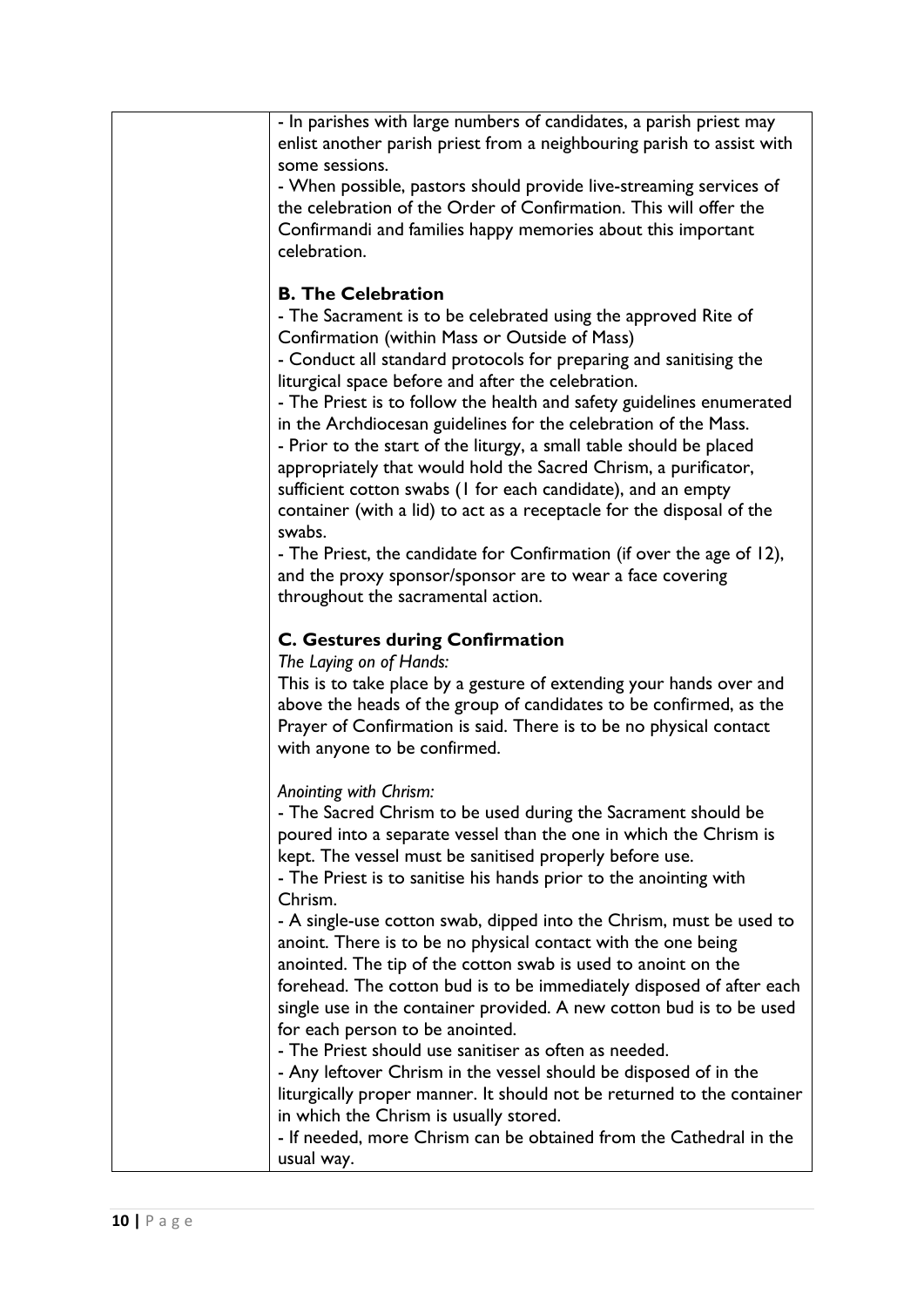| - In parishes with large numbers of candidates, a parish priest may<br>enlist another parish priest from a neighbouring parish to assist with<br>some sessions.<br>- When possible, pastors should provide live-streaming services of<br>the celebration of the Order of Confirmation. This will offer the<br>Confirmandi and families happy memories about this important<br>celebration.<br><b>B. The Celebration</b><br>- The Sacrament is to be celebrated using the approved Rite of<br>Confirmation (within Mass or Outside of Mass)<br>- Conduct all standard protocols for preparing and sanitising the<br>liturgical space before and after the celebration.<br>- The Priest is to follow the health and safety guidelines enumerated<br>in the Archdiocesan guidelines for the celebration of the Mass.<br>- Prior to the start of the liturgy, a small table should be placed<br>appropriately that would hold the Sacred Chrism, a purificator,<br>sufficient cotton swabs (I for each candidate), and an empty<br>container (with a lid) to act as a receptacle for the disposal of the<br>swabs.<br>- The Priest, the candidate for Confirmation (if over the age of 12),<br>and the proxy sponsor/sponsor are to wear a face covering<br>throughout the sacramental action. |
|--------------------------------------------------------------------------------------------------------------------------------------------------------------------------------------------------------------------------------------------------------------------------------------------------------------------------------------------------------------------------------------------------------------------------------------------------------------------------------------------------------------------------------------------------------------------------------------------------------------------------------------------------------------------------------------------------------------------------------------------------------------------------------------------------------------------------------------------------------------------------------------------------------------------------------------------------------------------------------------------------------------------------------------------------------------------------------------------------------------------------------------------------------------------------------------------------------------------------------------------------------------------------------------------|
|                                                                                                                                                                                                                                                                                                                                                                                                                                                                                                                                                                                                                                                                                                                                                                                                                                                                                                                                                                                                                                                                                                                                                                                                                                                                                            |
|                                                                                                                                                                                                                                                                                                                                                                                                                                                                                                                                                                                                                                                                                                                                                                                                                                                                                                                                                                                                                                                                                                                                                                                                                                                                                            |
|                                                                                                                                                                                                                                                                                                                                                                                                                                                                                                                                                                                                                                                                                                                                                                                                                                                                                                                                                                                                                                                                                                                                                                                                                                                                                            |
|                                                                                                                                                                                                                                                                                                                                                                                                                                                                                                                                                                                                                                                                                                                                                                                                                                                                                                                                                                                                                                                                                                                                                                                                                                                                                            |
|                                                                                                                                                                                                                                                                                                                                                                                                                                                                                                                                                                                                                                                                                                                                                                                                                                                                                                                                                                                                                                                                                                                                                                                                                                                                                            |
|                                                                                                                                                                                                                                                                                                                                                                                                                                                                                                                                                                                                                                                                                                                                                                                                                                                                                                                                                                                                                                                                                                                                                                                                                                                                                            |
|                                                                                                                                                                                                                                                                                                                                                                                                                                                                                                                                                                                                                                                                                                                                                                                                                                                                                                                                                                                                                                                                                                                                                                                                                                                                                            |
|                                                                                                                                                                                                                                                                                                                                                                                                                                                                                                                                                                                                                                                                                                                                                                                                                                                                                                                                                                                                                                                                                                                                                                                                                                                                                            |
|                                                                                                                                                                                                                                                                                                                                                                                                                                                                                                                                                                                                                                                                                                                                                                                                                                                                                                                                                                                                                                                                                                                                                                                                                                                                                            |
|                                                                                                                                                                                                                                                                                                                                                                                                                                                                                                                                                                                                                                                                                                                                                                                                                                                                                                                                                                                                                                                                                                                                                                                                                                                                                            |
|                                                                                                                                                                                                                                                                                                                                                                                                                                                                                                                                                                                                                                                                                                                                                                                                                                                                                                                                                                                                                                                                                                                                                                                                                                                                                            |
|                                                                                                                                                                                                                                                                                                                                                                                                                                                                                                                                                                                                                                                                                                                                                                                                                                                                                                                                                                                                                                                                                                                                                                                                                                                                                            |
|                                                                                                                                                                                                                                                                                                                                                                                                                                                                                                                                                                                                                                                                                                                                                                                                                                                                                                                                                                                                                                                                                                                                                                                                                                                                                            |
|                                                                                                                                                                                                                                                                                                                                                                                                                                                                                                                                                                                                                                                                                                                                                                                                                                                                                                                                                                                                                                                                                                                                                                                                                                                                                            |
|                                                                                                                                                                                                                                                                                                                                                                                                                                                                                                                                                                                                                                                                                                                                                                                                                                                                                                                                                                                                                                                                                                                                                                                                                                                                                            |
|                                                                                                                                                                                                                                                                                                                                                                                                                                                                                                                                                                                                                                                                                                                                                                                                                                                                                                                                                                                                                                                                                                                                                                                                                                                                                            |
|                                                                                                                                                                                                                                                                                                                                                                                                                                                                                                                                                                                                                                                                                                                                                                                                                                                                                                                                                                                                                                                                                                                                                                                                                                                                                            |
|                                                                                                                                                                                                                                                                                                                                                                                                                                                                                                                                                                                                                                                                                                                                                                                                                                                                                                                                                                                                                                                                                                                                                                                                                                                                                            |
|                                                                                                                                                                                                                                                                                                                                                                                                                                                                                                                                                                                                                                                                                                                                                                                                                                                                                                                                                                                                                                                                                                                                                                                                                                                                                            |
|                                                                                                                                                                                                                                                                                                                                                                                                                                                                                                                                                                                                                                                                                                                                                                                                                                                                                                                                                                                                                                                                                                                                                                                                                                                                                            |
|                                                                                                                                                                                                                                                                                                                                                                                                                                                                                                                                                                                                                                                                                                                                                                                                                                                                                                                                                                                                                                                                                                                                                                                                                                                                                            |
|                                                                                                                                                                                                                                                                                                                                                                                                                                                                                                                                                                                                                                                                                                                                                                                                                                                                                                                                                                                                                                                                                                                                                                                                                                                                                            |
|                                                                                                                                                                                                                                                                                                                                                                                                                                                                                                                                                                                                                                                                                                                                                                                                                                                                                                                                                                                                                                                                                                                                                                                                                                                                                            |
|                                                                                                                                                                                                                                                                                                                                                                                                                                                                                                                                                                                                                                                                                                                                                                                                                                                                                                                                                                                                                                                                                                                                                                                                                                                                                            |
|                                                                                                                                                                                                                                                                                                                                                                                                                                                                                                                                                                                                                                                                                                                                                                                                                                                                                                                                                                                                                                                                                                                                                                                                                                                                                            |
| <b>C. Gestures during Confirmation</b>                                                                                                                                                                                                                                                                                                                                                                                                                                                                                                                                                                                                                                                                                                                                                                                                                                                                                                                                                                                                                                                                                                                                                                                                                                                     |
| The Laying on of Hands:                                                                                                                                                                                                                                                                                                                                                                                                                                                                                                                                                                                                                                                                                                                                                                                                                                                                                                                                                                                                                                                                                                                                                                                                                                                                    |
| This is to take place by a gesture of extending your hands over and                                                                                                                                                                                                                                                                                                                                                                                                                                                                                                                                                                                                                                                                                                                                                                                                                                                                                                                                                                                                                                                                                                                                                                                                                        |
| above the heads of the group of candidates to be confirmed, as the                                                                                                                                                                                                                                                                                                                                                                                                                                                                                                                                                                                                                                                                                                                                                                                                                                                                                                                                                                                                                                                                                                                                                                                                                         |
| Prayer of Confirmation is said. There is to be no physical contact                                                                                                                                                                                                                                                                                                                                                                                                                                                                                                                                                                                                                                                                                                                                                                                                                                                                                                                                                                                                                                                                                                                                                                                                                         |
| with anyone to be confirmed.                                                                                                                                                                                                                                                                                                                                                                                                                                                                                                                                                                                                                                                                                                                                                                                                                                                                                                                                                                                                                                                                                                                                                                                                                                                               |
|                                                                                                                                                                                                                                                                                                                                                                                                                                                                                                                                                                                                                                                                                                                                                                                                                                                                                                                                                                                                                                                                                                                                                                                                                                                                                            |
| Anointing with Chrism:                                                                                                                                                                                                                                                                                                                                                                                                                                                                                                                                                                                                                                                                                                                                                                                                                                                                                                                                                                                                                                                                                                                                                                                                                                                                     |
| - The Sacred Chrism to be used during the Sacrament should be                                                                                                                                                                                                                                                                                                                                                                                                                                                                                                                                                                                                                                                                                                                                                                                                                                                                                                                                                                                                                                                                                                                                                                                                                              |
| poured into a separate vessel than the one in which the Chrism is                                                                                                                                                                                                                                                                                                                                                                                                                                                                                                                                                                                                                                                                                                                                                                                                                                                                                                                                                                                                                                                                                                                                                                                                                          |
| kept. The vessel must be sanitised properly before use.                                                                                                                                                                                                                                                                                                                                                                                                                                                                                                                                                                                                                                                                                                                                                                                                                                                                                                                                                                                                                                                                                                                                                                                                                                    |
| - The Priest is to sanitise his hands prior to the anointing with                                                                                                                                                                                                                                                                                                                                                                                                                                                                                                                                                                                                                                                                                                                                                                                                                                                                                                                                                                                                                                                                                                                                                                                                                          |
| Chrism.                                                                                                                                                                                                                                                                                                                                                                                                                                                                                                                                                                                                                                                                                                                                                                                                                                                                                                                                                                                                                                                                                                                                                                                                                                                                                    |
| - A single-use cotton swab, dipped into the Chrism, must be used to                                                                                                                                                                                                                                                                                                                                                                                                                                                                                                                                                                                                                                                                                                                                                                                                                                                                                                                                                                                                                                                                                                                                                                                                                        |
| anoint. There is to be no physical contact with the one being                                                                                                                                                                                                                                                                                                                                                                                                                                                                                                                                                                                                                                                                                                                                                                                                                                                                                                                                                                                                                                                                                                                                                                                                                              |
| anointed. The tip of the cotton swab is used to anoint on the                                                                                                                                                                                                                                                                                                                                                                                                                                                                                                                                                                                                                                                                                                                                                                                                                                                                                                                                                                                                                                                                                                                                                                                                                              |
| forehead. The cotton bud is to be immediately disposed of after each                                                                                                                                                                                                                                                                                                                                                                                                                                                                                                                                                                                                                                                                                                                                                                                                                                                                                                                                                                                                                                                                                                                                                                                                                       |
| single use in the container provided. A new cotton bud is to be used                                                                                                                                                                                                                                                                                                                                                                                                                                                                                                                                                                                                                                                                                                                                                                                                                                                                                                                                                                                                                                                                                                                                                                                                                       |
| for each person to be anointed.                                                                                                                                                                                                                                                                                                                                                                                                                                                                                                                                                                                                                                                                                                                                                                                                                                                                                                                                                                                                                                                                                                                                                                                                                                                            |
| - The Priest should use sanitiser as often as needed.                                                                                                                                                                                                                                                                                                                                                                                                                                                                                                                                                                                                                                                                                                                                                                                                                                                                                                                                                                                                                                                                                                                                                                                                                                      |
| - Any leftover Chrism in the vessel should be disposed of in the                                                                                                                                                                                                                                                                                                                                                                                                                                                                                                                                                                                                                                                                                                                                                                                                                                                                                                                                                                                                                                                                                                                                                                                                                           |
| liturgically proper manner. It should not be returned to the container                                                                                                                                                                                                                                                                                                                                                                                                                                                                                                                                                                                                                                                                                                                                                                                                                                                                                                                                                                                                                                                                                                                                                                                                                     |
| in which the Chrism is usually stored.                                                                                                                                                                                                                                                                                                                                                                                                                                                                                                                                                                                                                                                                                                                                                                                                                                                                                                                                                                                                                                                                                                                                                                                                                                                     |
| - If needed, more Chrism can be obtained from the Cathedral in the                                                                                                                                                                                                                                                                                                                                                                                                                                                                                                                                                                                                                                                                                                                                                                                                                                                                                                                                                                                                                                                                                                                                                                                                                         |
| usual way.                                                                                                                                                                                                                                                                                                                                                                                                                                                                                                                                                                                                                                                                                                                                                                                                                                                                                                                                                                                                                                                                                                                                                                                                                                                                                 |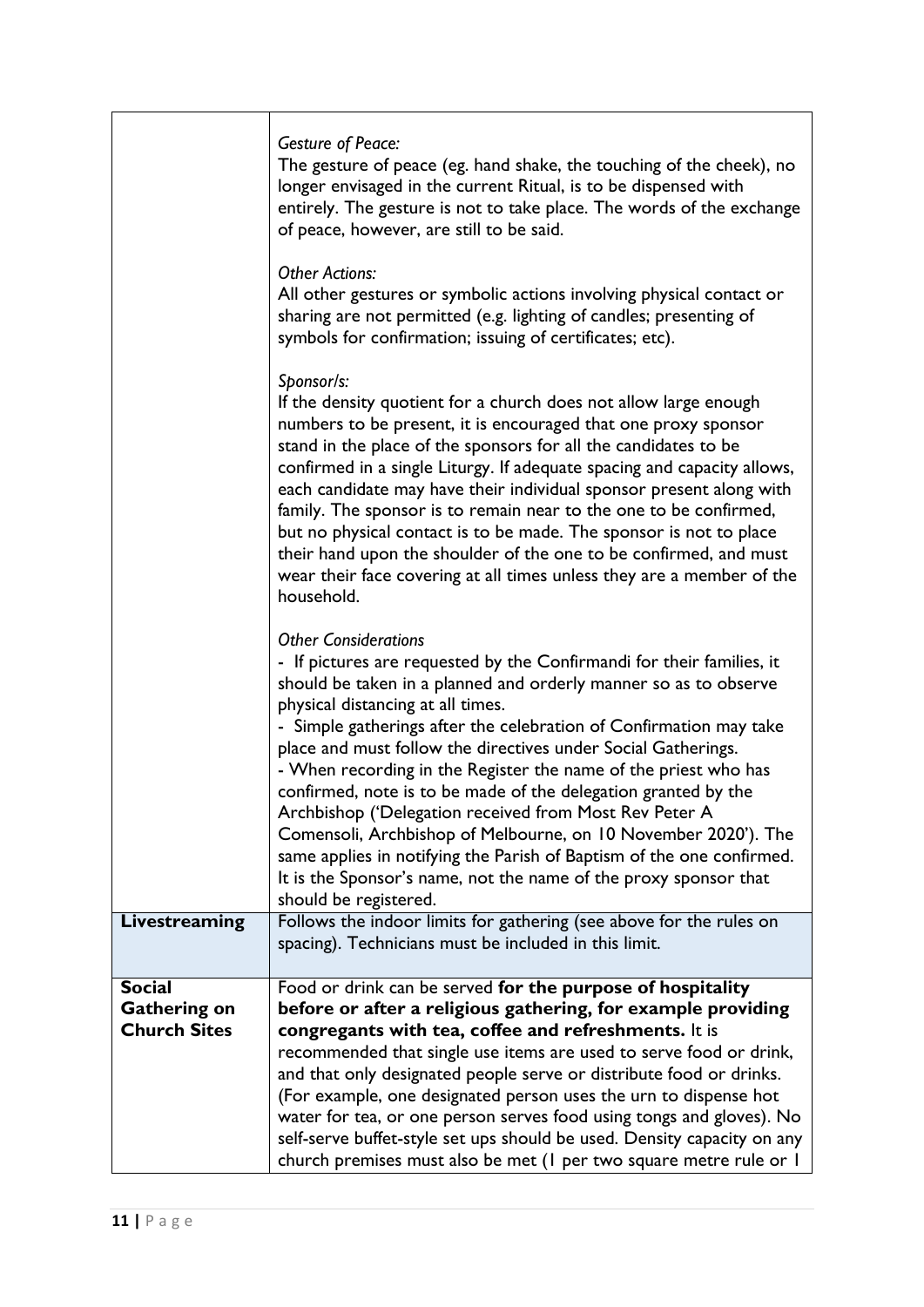|                     | <b>Gesture of Peace:</b><br>The gesture of peace (eg. hand shake, the touching of the cheek), no<br>longer envisaged in the current Ritual, is to be dispensed with<br>entirely. The gesture is not to take place. The words of the exchange<br>of peace, however, are still to be said.<br><b>Other Actions:</b>                                                                                                                                                                                                                                                                                                                                                                                                                                                                           |
|---------------------|---------------------------------------------------------------------------------------------------------------------------------------------------------------------------------------------------------------------------------------------------------------------------------------------------------------------------------------------------------------------------------------------------------------------------------------------------------------------------------------------------------------------------------------------------------------------------------------------------------------------------------------------------------------------------------------------------------------------------------------------------------------------------------------------|
|                     | All other gestures or symbolic actions involving physical contact or<br>sharing are not permitted (e.g. lighting of candles; presenting of<br>symbols for confirmation; issuing of certificates; etc).                                                                                                                                                                                                                                                                                                                                                                                                                                                                                                                                                                                      |
|                     | Sponsor/s:<br>If the density quotient for a church does not allow large enough<br>numbers to be present, it is encouraged that one proxy sponsor<br>stand in the place of the sponsors for all the candidates to be<br>confirmed in a single Liturgy. If adequate spacing and capacity allows,<br>each candidate may have their individual sponsor present along with<br>family. The sponsor is to remain near to the one to be confirmed,<br>but no physical contact is to be made. The sponsor is not to place<br>their hand upon the shoulder of the one to be confirmed, and must<br>wear their face covering at all times unless they are a member of the<br>household.                                                                                                                |
|                     | <b>Other Considerations</b><br>- If pictures are requested by the Confirmandi for their families, it<br>should be taken in a planned and orderly manner so as to observe<br>physical distancing at all times.<br>- Simple gatherings after the celebration of Confirmation may take<br>place and must follow the directives under Social Gatherings.<br>- When recording in the Register the name of the priest who has<br>confirmed, note is to be made of the delegation granted by the<br>Archbishop ('Delegation received from Most Rev Peter A<br>Comensoli, Archbishop of Melbourne, on 10 November 2020'). The<br>same applies in notifying the Parish of Baptism of the one confirmed.<br>It is the Sponsor's name, not the name of the proxy sponsor that<br>should be registered. |
| Livestreaming       | Follows the indoor limits for gathering (see above for the rules on<br>spacing). Technicians must be included in this limit.                                                                                                                                                                                                                                                                                                                                                                                                                                                                                                                                                                                                                                                                |
| <b>Social</b>       | Food or drink can be served for the purpose of hospitality                                                                                                                                                                                                                                                                                                                                                                                                                                                                                                                                                                                                                                                                                                                                  |
| <b>Gathering on</b> | before or after a religious gathering, for example providing                                                                                                                                                                                                                                                                                                                                                                                                                                                                                                                                                                                                                                                                                                                                |
| <b>Church Sites</b> | congregants with tea, coffee and refreshments. It is<br>recommended that single use items are used to serve food or drink,                                                                                                                                                                                                                                                                                                                                                                                                                                                                                                                                                                                                                                                                  |
|                     | and that only designated people serve or distribute food or drinks.                                                                                                                                                                                                                                                                                                                                                                                                                                                                                                                                                                                                                                                                                                                         |
|                     | (For example, one designated person uses the urn to dispense hot                                                                                                                                                                                                                                                                                                                                                                                                                                                                                                                                                                                                                                                                                                                            |
|                     | water for tea, or one person serves food using tongs and gloves). No<br>self-serve buffet-style set ups should be used. Density capacity on any<br>church premises must also be met (I per two square metre rule or I                                                                                                                                                                                                                                                                                                                                                                                                                                                                                                                                                                       |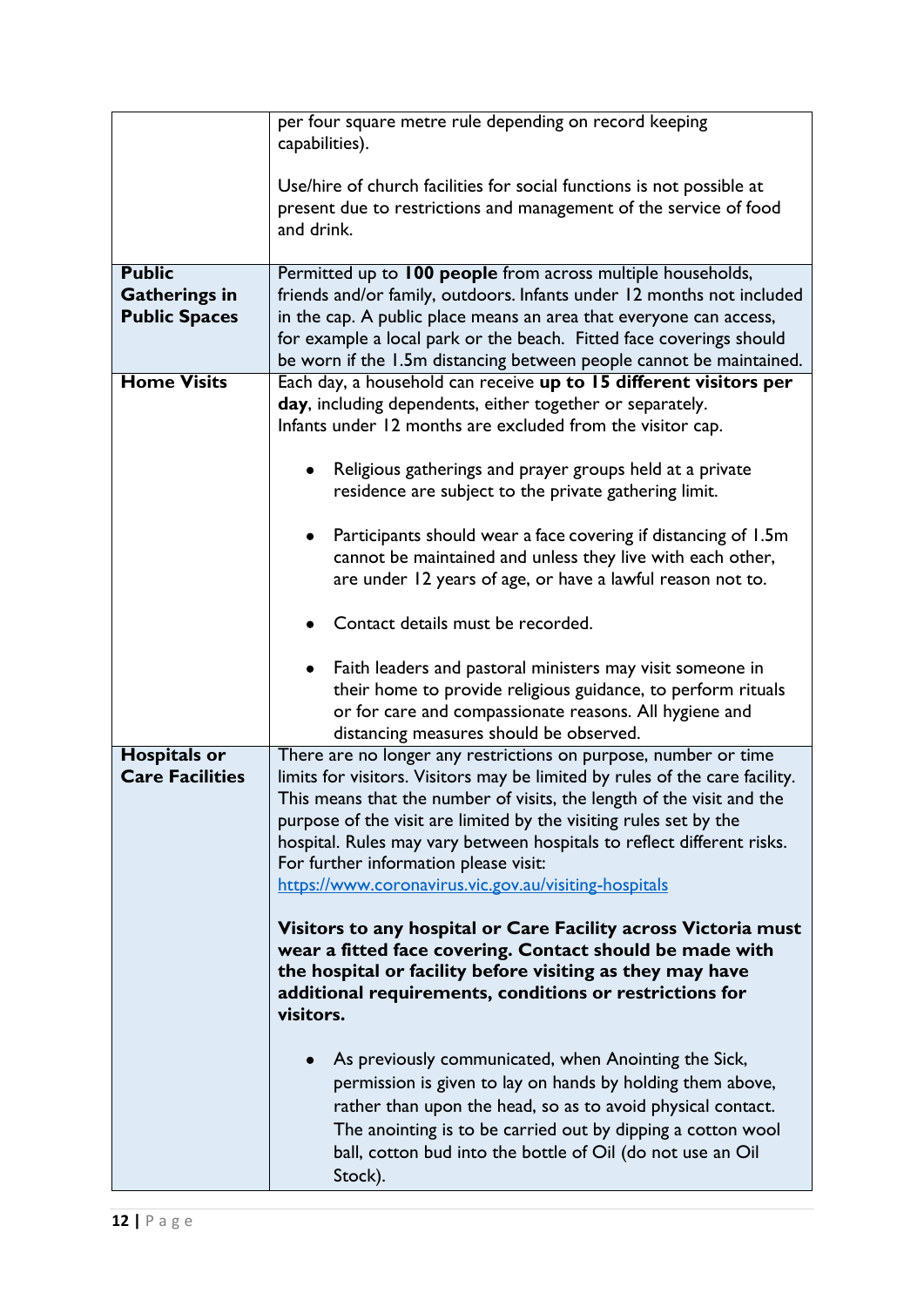|                                                               | per four square metre rule depending on record keeping<br>capabilities).                                                                                                                                                                                                                                                                                                                                                                                                                                                                                                                                                                                                                                                                                                                                                                                                                                                                                                                                                                                                 |
|---------------------------------------------------------------|--------------------------------------------------------------------------------------------------------------------------------------------------------------------------------------------------------------------------------------------------------------------------------------------------------------------------------------------------------------------------------------------------------------------------------------------------------------------------------------------------------------------------------------------------------------------------------------------------------------------------------------------------------------------------------------------------------------------------------------------------------------------------------------------------------------------------------------------------------------------------------------------------------------------------------------------------------------------------------------------------------------------------------------------------------------------------|
|                                                               | Use/hire of church facilities for social functions is not possible at<br>present due to restrictions and management of the service of food<br>and drink.                                                                                                                                                                                                                                                                                                                                                                                                                                                                                                                                                                                                                                                                                                                                                                                                                                                                                                                 |
| <b>Public</b><br><b>Gatherings in</b><br><b>Public Spaces</b> | Permitted up to 100 people from across multiple households,<br>friends and/or family, outdoors. Infants under 12 months not included<br>in the cap. A public place means an area that everyone can access,<br>for example a local park or the beach. Fitted face coverings should<br>be worn if the 1.5m distancing between people cannot be maintained.                                                                                                                                                                                                                                                                                                                                                                                                                                                                                                                                                                                                                                                                                                                 |
| <b>Home Visits</b>                                            | Each day, a household can receive up to 15 different visitors per<br>day, including dependents, either together or separately.<br>Infants under 12 months are excluded from the visitor cap.<br>Religious gatherings and prayer groups held at a private<br>residence are subject to the private gathering limit.<br>Participants should wear a face covering if distancing of 1.5m<br>cannot be maintained and unless they live with each other,<br>are under 12 years of age, or have a lawful reason not to.<br>Contact details must be recorded.<br>Faith leaders and pastoral ministers may visit someone in<br>their home to provide religious guidance, to perform rituals<br>or for care and compassionate reasons. All hygiene and<br>distancing measures should be observed.                                                                                                                                                                                                                                                                                   |
| <b>Hospitals or</b><br><b>Care Facilities</b>                 | There are no longer any restrictions on purpose, number or time<br>limits for visitors. Visitors may be limited by rules of the care facility.<br>This means that the number of visits, the length of the visit and the<br>purpose of the visit are limited by the visiting rules set by the<br>hospital. Rules may vary between hospitals to reflect different risks.<br>For further information please visit:<br>https://www.coronavirus.vic.gov.au/visiting-hospitals<br>Visitors to any hospital or Care Facility across Victoria must<br>wear a fitted face covering. Contact should be made with<br>the hospital or facility before visiting as they may have<br>additional requirements, conditions or restrictions for<br>visitors.<br>As previously communicated, when Anointing the Sick,<br>permission is given to lay on hands by holding them above,<br>rather than upon the head, so as to avoid physical contact.<br>The anointing is to be carried out by dipping a cotton wool<br>ball, cotton bud into the bottle of Oil (do not use an Oil<br>Stock). |